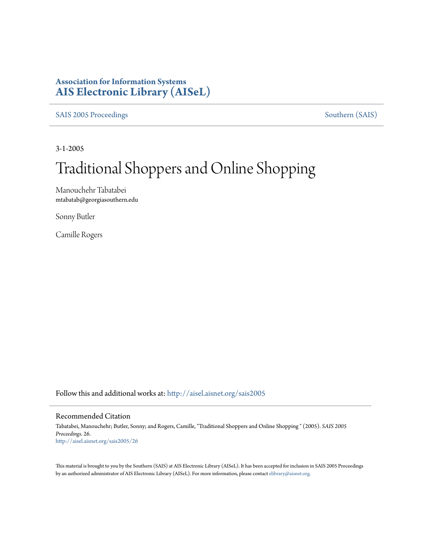# **Association for Information Systems [AIS Electronic Library \(AISeL\)](http://aisel.aisnet.org?utm_source=aisel.aisnet.org%2Fsais2005%2F26&utm_medium=PDF&utm_campaign=PDFCoverPages)**

[SAIS 2005 Proceedings](http://aisel.aisnet.org/sais2005?utm_source=aisel.aisnet.org%2Fsais2005%2F26&utm_medium=PDF&utm_campaign=PDFCoverPages) [Southern \(SAIS\)](http://aisel.aisnet.org/sais?utm_source=aisel.aisnet.org%2Fsais2005%2F26&utm_medium=PDF&utm_campaign=PDFCoverPages)

3-1-2005

# Traditional Shoppers and Online Shopping

Manouchehr Tabatabei mtabatab@georgiasouthern.edu

Sonny Butler

Camille Rogers

Follow this and additional works at: [http://aisel.aisnet.org/sais2005](http://aisel.aisnet.org/sais2005?utm_source=aisel.aisnet.org%2Fsais2005%2F26&utm_medium=PDF&utm_campaign=PDFCoverPages)

#### Recommended Citation

Tabatabei, Manouchehr; Butler, Sonny; and Rogers, Camille, "Traditional Shoppers and Online Shopping " (2005). *SAIS 2005 Proceedings*. 26. [http://aisel.aisnet.org/sais2005/26](http://aisel.aisnet.org/sais2005/26?utm_source=aisel.aisnet.org%2Fsais2005%2F26&utm_medium=PDF&utm_campaign=PDFCoverPages)

This material is brought to you by the Southern (SAIS) at AIS Electronic Library (AISeL). It has been accepted for inclusion in SAIS 2005 Proceedings by an authorized administrator of AIS Electronic Library (AISeL). For more information, please contact [elibrary@aisnet.org](mailto:elibrary@aisnet.org%3E).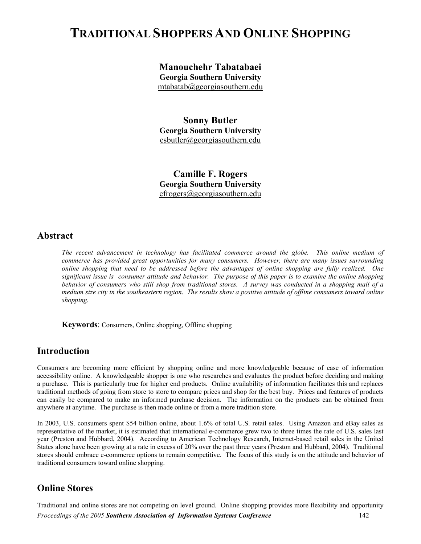# **TRADITIONAL SHOPPERS AND ONLINE SHOPPING**

**Manouchehr Tabatabaei Georgia Southern University** 

[mtabatab@georgiasouthern.edu](mailto:mtabatab@georgiasouthern.edu)

**Sonny Butler Georgia Southern University**  [esbutler@georgiasouthern.edu](mailto:esbutler@georgiasouthern.edu)

**Camille F. Rogers Georgia Southern University**  cfrogers@georgiasouthern.edu

#### **Abstract**

*The recent advancement in technology has facilitated commerce around the globe. This online medium of commerce has provided great opportunities for many consumers. However, there are many issues surrounding online shopping that need to be addressed before the advantages of online shopping are fully realized. One significant issue is consumer attitude and behavior. The purpose of this paper is to examine the online shopping behavior of consumers who still shop from traditional stores. A survey was conducted in a shopping mall of a medium size city in the southeastern region. The results show a positive attitude of offline consumers toward online shopping.*

**Keywords**: Consumers, Online shopping, Offline shopping

#### **Introduction**

Consumers are becoming more efficient by shopping online and more knowledgeable because of ease of information accessibility online. A knowledgeable shopper is one who researches and evaluates the product before deciding and making a purchase. This is particularly true for higher end products. Online availability of information facilitates this and replaces traditional methods of going from store to store to compare prices and shop for the best buy. Prices and features of products can easily be compared to make an informed purchase decision. The information on the products can be obtained from anywhere at anytime. The purchase is then made online or from a more tradition store.

In 2003, U.S. consumers spent \$54 billion online, about 1.6% of total U.S. retail sales. Using Amazon and eBay sales as representative of the market, it is estimated that international e-commerce grew two to three times the rate of U.S. sales last year (Preston and Hubbard, 2004). According to American Technology Research, Internet-based retail sales in the United States alone have been growing at a rate in excess of 20% over the past three years (Preston and Hubbard, 2004). Traditional stores should embrace e-commerce options to remain competitive. The focus of this study is on the attitude and behavior of traditional consumers toward online shopping.

#### **Online Stores**

Traditional and online stores are not competing on level ground. Online shopping provides more flexibility and opportunity *Proceedings of the 2005 Southern Association of Information Systems Conference* 142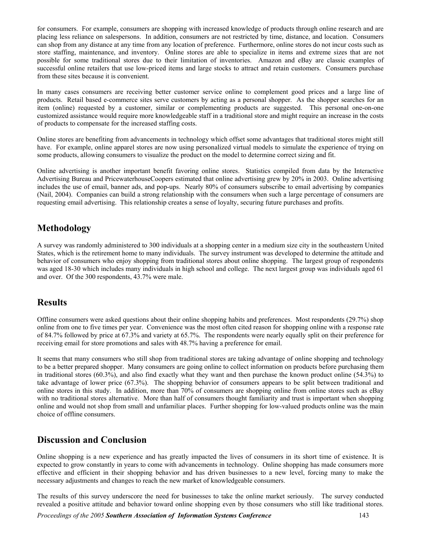for consumers. For example, consumers are shopping with increased knowledge of products through online research and are placing less reliance on salespersons. In addition, consumers are not restricted by time, distance, and location. Consumers can shop from any distance at any time from any location of preference. Furthermore, online stores do not incur costs such as store staffing, maintenance, and inventory. Online stores are able to specialize in items and extreme sizes that are not possible for some traditional stores due to their limitation of inventories. Amazon and eBay are classic examples of successful online retailers that use low-priced items and large stocks to attract and retain customers. Consumers purchase from these sites because it is convenient.

In many cases consumers are receiving better customer service online to complement good prices and a large line of products. Retail based e-commerce sites serve customers by acting as a personal shopper. As the shopper searches for an item (online) requested by a customer, similar or complementing products are suggested. This personal one-on-one customized assistance would require more knowledgeable staff in a traditional store and might require an increase in the costs of products to compensate for the increased staffing costs.

Online stores are benefiting from advancements in technology which offset some advantages that traditional stores might still have. For example, online apparel stores are now using personalized virtual models to simulate the experience of trying on some products, allowing consumers to visualize the product on the model to determine correct sizing and fit.

Online advertising is another important benefit favoring online stores. Statistics compiled from data by the Interactive Advertising Bureau and PricewaterhouseCoopers estimated that online advertising grew by 20% in 2003. Online advertising includes the use of email, banner ads, and pop-ups. Nearly 80% of consumers subscribe to email advertising by companies (Nail, 2004). Companies can build a strong relationship with the consumers when such a large percentage of consumers are requesting email advertising. This relationship creates a sense of loyalty, securing future purchases and profits.

# **Methodology**

A survey was randomly administered to 300 individuals at a shopping center in a medium size city in the southeastern United States, which is the retirement home to many individuals. The survey instrument was developed to determine the attitude and behavior of consumers who enjoy shopping from traditional stores about online shopping. The largest group of respondents was aged 18-30 which includes many individuals in high school and college. The next largest group was individuals aged 61 and over. Of the 300 respondents, 43.7% were male.

## **Results**

Offline consumers were asked questions about their online shopping habits and preferences. Most respondents (29.7%) shop online from one to five times per year. Convenience was the most often cited reason for shopping online with a response rate of 84.7% followed by price at 67.3% and variety at 65.7%. The respondents were nearly equally split on their preference for receiving email for store promotions and sales with 48.7% having a preference for email.

It seems that many consumers who still shop from traditional stores are taking advantage of online shopping and technology to be a better prepared shopper. Many consumers are going online to collect information on products before purchasing them in traditional stores (60.3%), and also find exactly what they want and then purchase the known product online (54.3%) to take advantage of lower price (67.3%). The shopping behavior of consumers appears to be split between traditional and online stores in this study. In addition, more than 70% of consumers are shopping online from online stores such as eBay with no traditional stores alternative. More than half of consumers thought familiarity and trust is important when shopping online and would not shop from small and unfamiliar places. Further shopping for low-valued products online was the main choice of offline consumers.

## **Discussion and Conclusion**

Online shopping is a new experience and has greatly impacted the lives of consumers in its short time of existence. It is expected to grow constantly in years to come with advancements in technology. Online shopping has made consumers more effective and efficient in their shopping behavior and has driven businesses to a new level, forcing many to make the necessary adjustments and changes to reach the new market of knowledgeable consumers.

The results of this survey underscore the need for businesses to take the online market seriously. The survey conducted revealed a positive attitude and behavior toward online shopping even by those consumers who still like traditional stores.